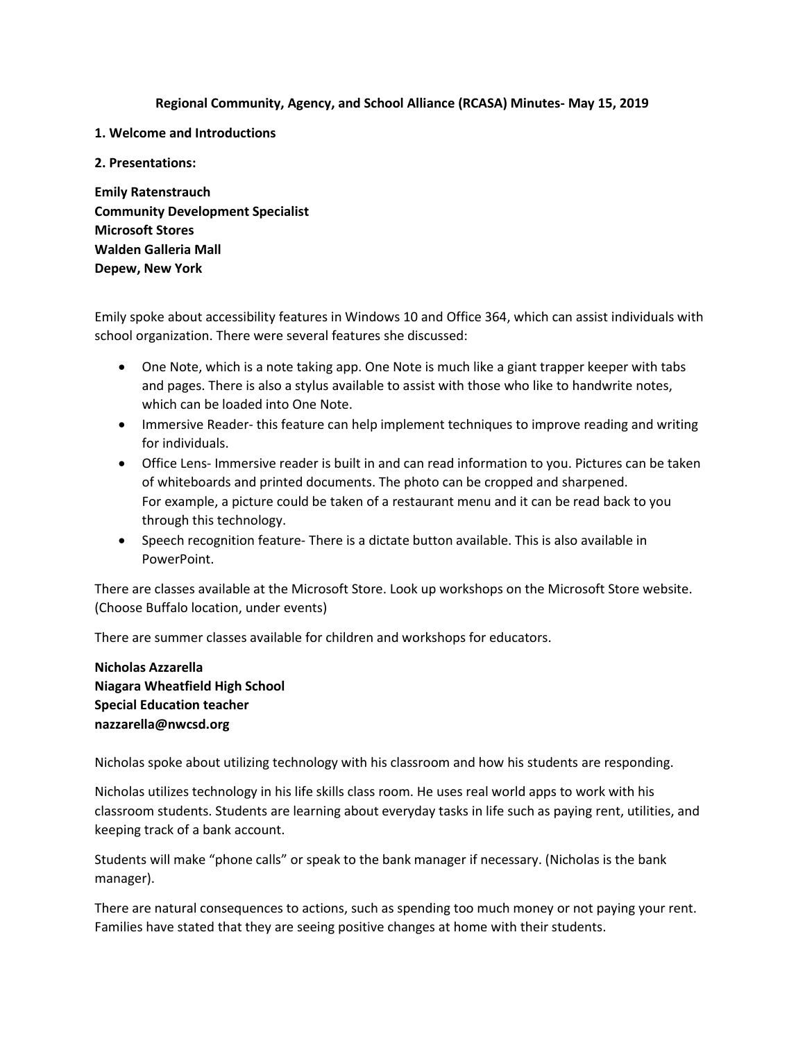**Regional Community, Agency, and School Alliance (RCASA) Minutes- May 15, 2019**

- **1. Welcome and Introductions**
- **2. Presentations:**

**Emily Ratenstrauch Community Development Specialist Microsoft Stores Walden Galleria Mall Depew, New York**

Emily spoke about accessibility features in Windows 10 and Office 364, which can assist individuals with school organization. There were several features she discussed:

- One Note, which is a note taking app. One Note is much like a giant trapper keeper with tabs and pages. There is also a stylus available to assist with those who like to handwrite notes, which can be loaded into One Note.
- Immersive Reader- this feature can help implement techniques to improve reading and writing for individuals.
- Office Lens- Immersive reader is built in and can read information to you. Pictures can be taken of whiteboards and printed documents. The photo can be cropped and sharpened. For example, a picture could be taken of a restaurant menu and it can be read back to you through this technology.
- Speech recognition feature- There is a dictate button available. This is also available in PowerPoint.

There are classes available at the Microsoft Store. Look up workshops on the Microsoft Store website. (Choose Buffalo location, under events)

There are summer classes available for children and workshops for educators.

**Nicholas Azzarella Niagara Wheatfield High School Special Education teacher nazzarella@nwcsd.org**

Nicholas spoke about utilizing technology with his classroom and how his students are responding.

Nicholas utilizes technology in his life skills class room. He uses real world apps to work with his classroom students. Students are learning about everyday tasks in life such as paying rent, utilities, and keeping track of a bank account.

Students will make "phone calls" or speak to the bank manager if necessary. (Nicholas is the bank manager).

There are natural consequences to actions, such as spending too much money or not paying your rent. Families have stated that they are seeing positive changes at home with their students.